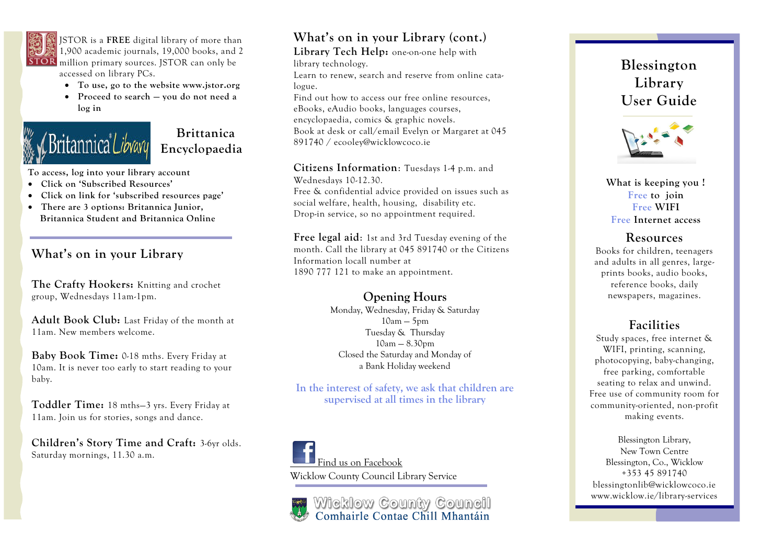

JSTOR is a **FREE** digital library of more than 1,900 academic journals, 19,000 books, and 2 **STOR** million primary sources. JSTOR can only be accessed on library PCs.

- **To use, go to the website www.jstor.org**
- **Proceed to search — you do not need a log in**

# ritannica *Libv*avu

 **Brittanica Encyclopaedia** 

**To access, log into your library account** 

- **Click on 'Subscribed Resources'**
- **Click on link for 'subscribed resources page'**
- **There are 3 options: Britannica Junior, Britannica Student and Britannica Online**

### **What's on in your Library**

**The Crafty Hookers:** Knitting and crochet group, Wednesdays 11am-1pm.

**Adult Book Club:** Last Friday of the month at 11am. New members welcome.

**Baby Book Time:** 0-18 mths. Every Friday at 10am. It is never too early to start reading to your baby.

**Toddler Time:** 18 mths—3 yrs. Every Friday at 11am. Join us for stories, songs and dance.

**Children's Story Time and Craft:** 3-6yr olds. Saturday mornings, 11.30 a.m.

# **What's on in your Library (cont.)**

**Library Tech Help:** one-on-one help with library technology.

Learn to renew, search and reserve from online catalogue.

Find out how to access our free online resources, eBooks, eAudio books, languages courses, encyclopaedia, comics & graphic novels. Book at desk or call/email Evelyn or Margaret at 045 891740 / ecooley@wicklowcoco.ie

**Citizens Information**: Tuesdays 1-4 p.m. and

Wednesdays 10-12.30.

Free & confidential advice provided on issues such as social welfare, health, housing, disability etc. Drop-in service, so no appointment required.

**Free legal aid**: 1st and 3rd Tuesday evening of the month. Call the library at 045 891740 or the Citizens Information locall number at 1890 777 121 to make an appointment.

#### **Opening Hours**

Monday, Wednesday, Friday & Saturday  $10am - 5pm$ Tuesday & Thursday  $10$ am  $- 8.30$ pm Closed the Saturday and Monday of a Bank Holiday weekend

**In the interest of safety, we ask that children are supervised at all times in the library** 

Find us on Facebook Wicklow County Council Library Service

Wicklow County Council<br>Comhairle Contae Chill Mhantáin

**Blessington Library User Guide** 



**What is keeping you ! Free to join Free WIFI Free Internet access** 

#### **Resources**

Books for children, teenagers and adults in all genres, largeprints books, audio books, reference books, daily newspapers, magazines.

## **Facilities**

Study spaces, free internet & WIFI, printing, scanning, photocopying, baby-changing, free parking, comfortable seating to relax and unwind. Free use of community room for community-oriented, non-profit making events.

Blessington Library, New Town Centre Blessington, Co., Wicklow +353 45 891740 blessingtonlib@wicklowcoco.ie www.wicklow.ie/library-services